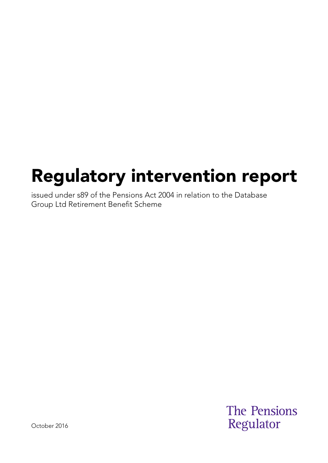# Regulatory intervention report

issued under s89 of the Pensions Act 2004 in relation to the Database Group Ltd Retirement Benefit Scheme

> **The Pensions** Regulator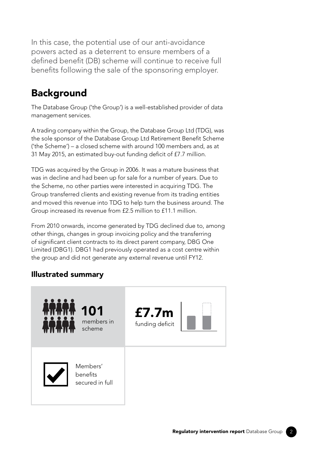In this case, the potential use of our anti-avoidance powers acted as a deterrent to ensure members of a defined benefit (DB) scheme will continue to receive full benefits following the sale of the sponsoring employer.

## Background

The Database Group ('the Group') is a well-established provider of data management services.

A trading company within the Group, the Database Group Ltd (TDG), was the sole sponsor of the Database Group Ltd Retirement Benefit Scheme ('the Scheme') – a closed scheme with around 100 members and, as at 31 May 2015, an estimated buy-out funding deficit of £7.7 million.

TDG was acquired by the Group in 2006. It was a mature business that was in decline and had been up for sale for a number of years. Due to the Scheme, no other parties were interested in acquiring TDG. The Group transferred clients and existing revenue from its trading entities and moved this revenue into TDG to help turn the business around. The Group increased its revenue from £2.5 million to £11.1 million.

From 2010 onwards, income generated by TDG declined due to, among other things, changes in group invoicing policy and the transferring of significant client contracts to its direct parent company, DBG One Limited (DBG1). DBG1 had previously operated as a cost centre within the group and did not generate any external revenue until FY12.

#### Illustrated summary

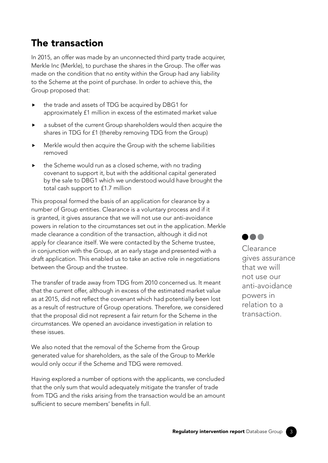#### The transaction

In 2015, an offer was made by an unconnected third party trade acquirer, Merkle Inc (Merkle), to purchase the shares in the Group. The offer was made on the condition that no entity within the Group had any liability to the Scheme at the point of purchase. In order to achieve this, the Group proposed that:

- ▶ the trade and assets of TDG be acquired by DBG1 for approximately £1 million in excess of the estimated market value
- ▶ a subset of the current Group shareholders would then acquire the shares in TDG for £1 (thereby removing TDG from the Group)
- ▶ Merkle would then acquire the Group with the scheme liabilities removed
- ▶ the Scheme would run as a closed scheme, with no trading covenant to support it, but with the additional capital generated by the sale to DBG1 which we understood would have brought the total cash support to £1.7 million

This proposal formed the basis of an application for clearance by a number of Group entities. Clearance is a voluntary process and if it is granted, it gives assurance that we will not use our anti-avoidance powers in relation to the circumstances set out in the application. Merkle made clearance a condition of the transaction, although it did not apply for clearance itself. We were contacted by the Scheme trustee, in conjunction with the Group, at an early stage and presented with a draft application. This enabled us to take an active role in negotiations between the Group and the trustee.

The transfer of trade away from TDG from 2010 concerned us. It meant that the current offer, although in excess of the estimated market value as at 2015, did not reflect the covenant which had potentially been lost as a result of restructure of Group operations. Therefore, we considered that the proposal did not represent a fair return for the Scheme in the circumstances. We opened an avoidance investigation in relation to these issues.

We also noted that the removal of the Scheme from the Group generated value for shareholders, as the sale of the Group to Merkle would only occur if the Scheme and TDG were removed.

Having explored a number of options with the applicants, we concluded that the only sum that would adequately mitigate the transfer of trade from TDG and the risks arising from the transaction would be an amount sufficient to secure members' benefits in full.



Clearance gives assurance that we will not use our anti-avoidance powers in relation to a transaction.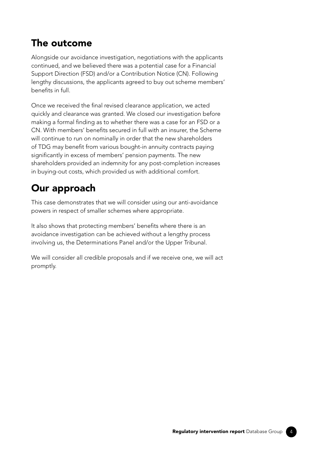#### The outcome

Alongside our avoidance investigation, negotiations with the applicants continued, and we believed there was a potential case for a Financial Support Direction (FSD) and/or a Contribution Notice (CN). Following lengthy discussions, the applicants agreed to buy out scheme members' benefits in full.

Once we received the final revised clearance application, we acted quickly and clearance was granted. We closed our investigation before making a formal finding as to whether there was a case for an FSD or a CN. With members' benefits secured in full with an insurer, the Scheme will continue to run on nominally in order that the new shareholders of TDG may benefit from various bought-in annuity contracts paying significantly in excess of members' pension payments. The new shareholders provided an indemnity for any post-completion increases in buying-out costs, which provided us with additional comfort.

### Our approach

This case demonstrates that we will consider using our anti-avoidance powers in respect of smaller schemes where appropriate.

It also shows that protecting members' benefits where there is an avoidance investigation can be achieved without a lengthy process involving us, the Determinations Panel and/or the Upper Tribunal.

We will consider all credible proposals and if we receive one, we will act promptly.